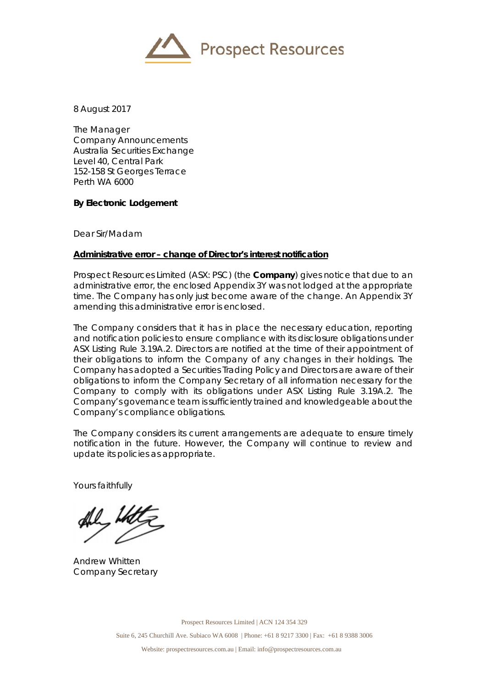

8 August 2017

The Manager Company Announcements Australia Securities Exchange Level 40, Central Park 152-158 St Georges Terrace Perth WA 6000

## **By Electronic Lodgement**

Dear Sir/Madam

## **Administrative error – change of Director's interest notification**

Prospect Resources Limited (ASX: PSC) (the **Company**) gives notice that due to an administrative error, the enclosed Appendix 3Y was not lodged at the appropriate time. The Company has only just become aware of the change. An Appendix 3Y amending this administrative error is enclosed.

The Company considers that it has in place the necessary education, reporting and notification policies to ensure compliance with its disclosure obligations under ASX Listing Rule 3.19A.2. Directors are notified at the time of their appointment of their obligations to inform the Company of any changes in their holdings. The Company has adopted a Securities Trading Policy and Directors are aware of their obligations to inform the Company Secretary of all information necessary for the Company to comply with its obligations under ASX Listing Rule 3.19A.2. The Company's governance team is sufficiently trained and knowledgeable about the Company's compliance obligations.

The Company considers its current arrangements are adequate to ensure timely notification in the future. However, the Company will continue to review and update its policies as appropriate.

Yours faithfully

Andrew Whitten Company Secretary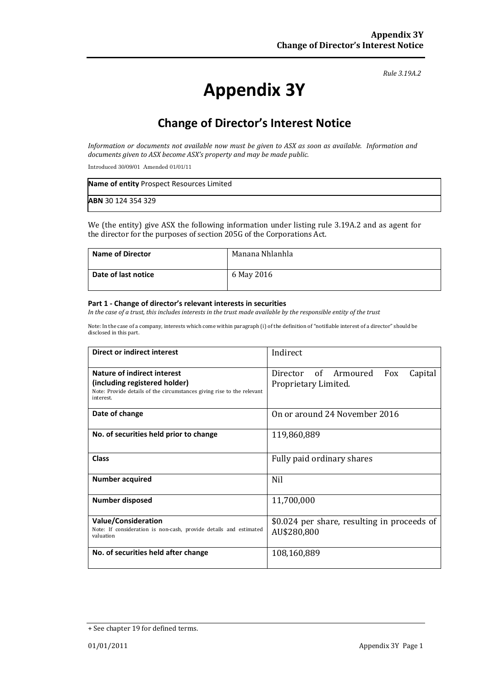#### *Rule 3.19A.2*

# **Appendix 3Y**

# **Change of Director's Interest Notice**

*Information or documents not available now must be given to ASX as soon as available. Information and documents given to ASX become ASX's property and may be made public.*

Introduced 30/09/01 Amended 01/01/11

| Name of entity Prospect Resources Limited |  |
|-------------------------------------------|--|
| <b>ABN 30 124 354 329</b>                 |  |

We (the entity) give ASX the following information under listing rule 3.19A.2 and as agent for the director for the purposes of section 205G of the Corporations Act.

| <b>Name of Director</b> | Manana Nhlanhla |
|-------------------------|-----------------|
| Date of last notice     | 6 May 2016      |

### **Part 1 - Change of director's relevant interests in securities**

*In the case of a trust, this includes interests in the trust made available by the responsible entity of the trust*

Note: In the case of a company, interests which come within paragraph (i) of the definition of "notifiable interest of a director" should be disclosed in this part.

| <b>Direct or indirect interest</b>                                                                                                                  | Indirect                                                       |  |
|-----------------------------------------------------------------------------------------------------------------------------------------------------|----------------------------------------------------------------|--|
| Nature of indirect interest<br>(including registered holder)<br>Note: Provide details of the circumstances giving rise to the relevant<br>interest. | Director of Armoured<br>Fox<br>Capital<br>Proprietary Limited. |  |
| Date of change                                                                                                                                      | On or around 24 November 2016                                  |  |
| No. of securities held prior to change                                                                                                              | 119,860,889                                                    |  |
| <b>Class</b>                                                                                                                                        | Fully paid ordinary shares                                     |  |
| <b>Number acquired</b>                                                                                                                              | Nil                                                            |  |
| <b>Number disposed</b>                                                                                                                              | 11,700,000                                                     |  |
| <b>Value/Consideration</b><br>Note: If consideration is non-cash, provide details and estimated<br>valuation                                        | \$0.024 per share, resulting in proceeds of<br>AU\$280,800     |  |
| No. of securities held after change                                                                                                                 | 108,160,889                                                    |  |

<sup>+</sup> See chapter 19 for defined terms.